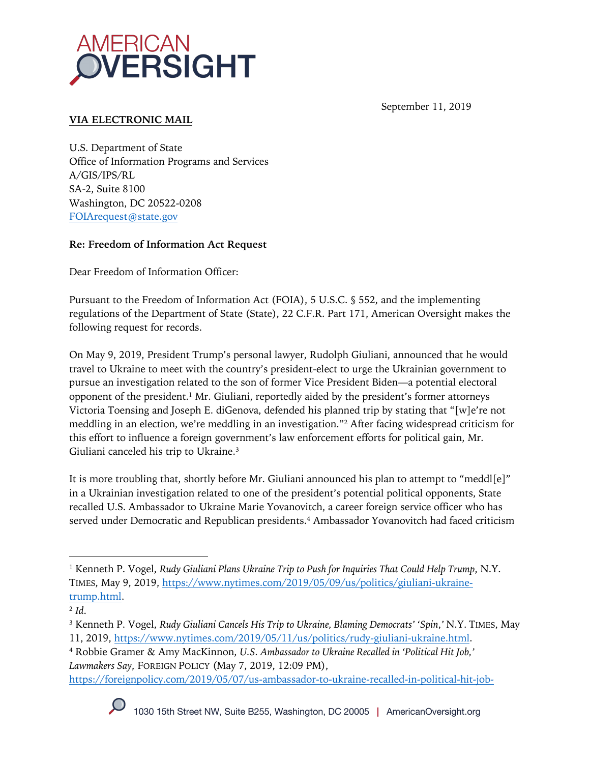

September 11, 2019

# **VIA ELECTRONIC MAIL**

U.S. Department of State Office of Information Programs and Services A/GIS/IPS/RL SA-2, Suite 8100 Washington, DC 20522-0208 FOIArequest@state.gov

## **Re: Freedom of Information Act Request**

Dear Freedom of Information Officer:

Pursuant to the Freedom of Information Act (FOIA), 5 U.S.C. § 552, and the implementing regulations of the Department of State (State), 22 C.F.R. Part 171, American Oversight makes the following request for records.

On May 9, 2019, President Trump's personal lawyer, Rudolph Giuliani, announced that he would travel to Ukraine to meet with the country's president-elect to urge the Ukrainian government to pursue an investigation related to the son of former Vice President Biden—a potential electoral opponent of the president.<sup>1</sup> Mr. Giuliani, reportedly aided by the president's former attorneys Victoria Toensing and Joseph E. diGenova, defended his planned trip by stating that "[w]e're not meddling in an election, we're meddling in an investigation."2 After facing widespread criticism for this effort to influence a foreign government's law enforcement efforts for political gain, Mr. Giuliani canceled his trip to Ukraine.3

It is more troubling that, shortly before Mr. Giuliani announced his plan to attempt to "meddl[e]" in a Ukrainian investigation related to one of the president's potential political opponents, State recalled U.S. Ambassador to Ukraine Marie Yovanovitch, a career foreign service officer who has served under Democratic and Republican presidents.<sup>4</sup> Ambassador Yovanovitch had faced criticism

https://foreignpolicy.com/2019/05/07/us-ambassador-to-ukraine-recalled-in-political-hit-job-



<sup>1</sup> Kenneth P. Vogel, *Rudy Giuliani Plans Ukraine Trip to Push for Inquiries That Could Help Trump*, N.Y. TIMES, May 9, 2019, https://www.nytimes.com/2019/05/09/us/politics/giuliani-ukrainetrump.html.

<sup>2</sup> *Id*.

<sup>3</sup> Kenneth P. Vogel, *Rudy Giuliani Cancels His Trip to Ukraine, Blaming Democrats' 'Spin*,*'* N.Y. TIMES, May 11, 2019, https://www.nytimes.com/2019/05/11/us/politics/rudy-giuliani-ukraine.html.

<sup>4</sup> Robbie Gramer & Amy MacKinnon, *U.S. Ambassador to Ukraine Recalled in 'Political Hit Job,' Lawmakers Say*, FOREIGN POLICY (May 7, 2019, 12:09 PM),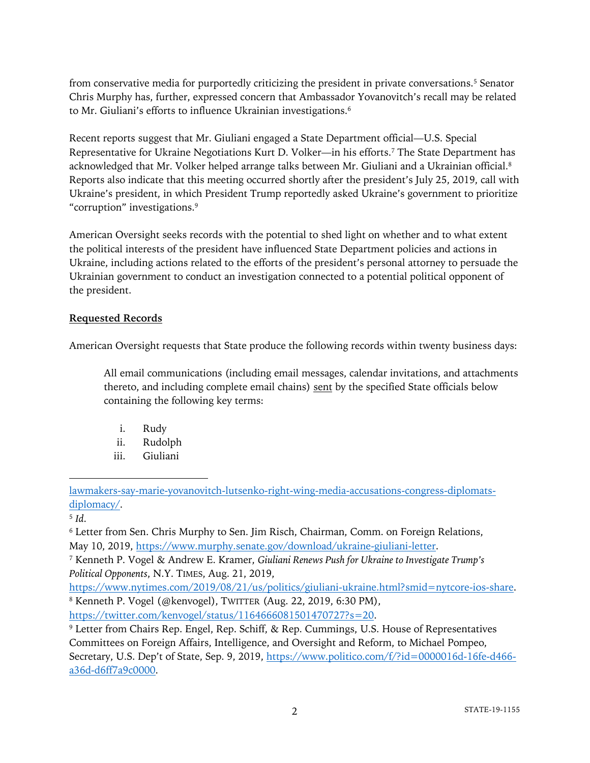from conservative media for purportedly criticizing the president in private conversations.5 Senator Chris Murphy has, further, expressed concern that Ambassador Yovanovitch's recall may be related to Mr. Giuliani's efforts to influence Ukrainian investigations.<sup>6</sup>

Recent reports suggest that Mr. Giuliani engaged a State Department official—U.S. Special Representative for Ukraine Negotiations Kurt D. Volker—in his efforts.7 The State Department has acknowledged that Mr. Volker helped arrange talks between Mr. Giuliani and a Ukrainian official.8 Reports also indicate that this meeting occurred shortly after the president's July 25, 2019, call with Ukraine's president, in which President Trump reportedly asked Ukraine's government to prioritize "corruption" investigations.9

American Oversight seeks records with the potential to shed light on whether and to what extent the political interests of the president have influenced State Department policies and actions in Ukraine, including actions related to the efforts of the president's personal attorney to persuade the Ukrainian government to conduct an investigation connected to a potential political opponent of the president.

## **Requested Records**

American Oversight requests that State produce the following records within twenty business days:

All email communications (including email messages, calendar invitations, and attachments thereto, and including complete email chains) sent by the specified State officials below containing the following key terms:

- i. Rudy
- ii. Rudolph
- iii. Giuliani

<sup>5</sup> *Id*.

<sup>6</sup> Letter from Sen. Chris Murphy to Sen. Jim Risch, Chairman, Comm. on Foreign Relations, May 10, 2019, https://www.murphy.senate.gov/download/ukraine-giuliani-letter.

https://twitter.com/kenvogel/status/1164666081501470727?s=20.

lawmakers-say-marie-yovanovitch-lutsenko-right-wing-media-accusations-congress-diplomatsdiplomacy/.

<sup>7</sup> Kenneth P. Vogel & Andrew E. Kramer, *Giuliani Renews Push for Ukraine to Investigate Trump's Political Opponents*, N.Y. TIMES, Aug. 21, 2019,

https://www.nytimes.com/2019/08/21/us/politics/giuliani-ukraine.html?smid=nytcore-ios-share. <sup>8</sup> Kenneth P. Vogel (@kenvogel), TWITTER (Aug. 22, 2019, 6:30 PM),

<sup>&</sup>lt;sup>9</sup> Letter from Chairs Rep. Engel, Rep. Schiff, & Rep. Cummings, U.S. House of Representatives Committees on Foreign Affairs, Intelligence, and Oversight and Reform, to Michael Pompeo, Secretary, U.S. Dep't of State, Sep. 9, 2019, https://www.politico.com/f/?id=0000016d-16fe-d466a36d-d6ff7a9c0000.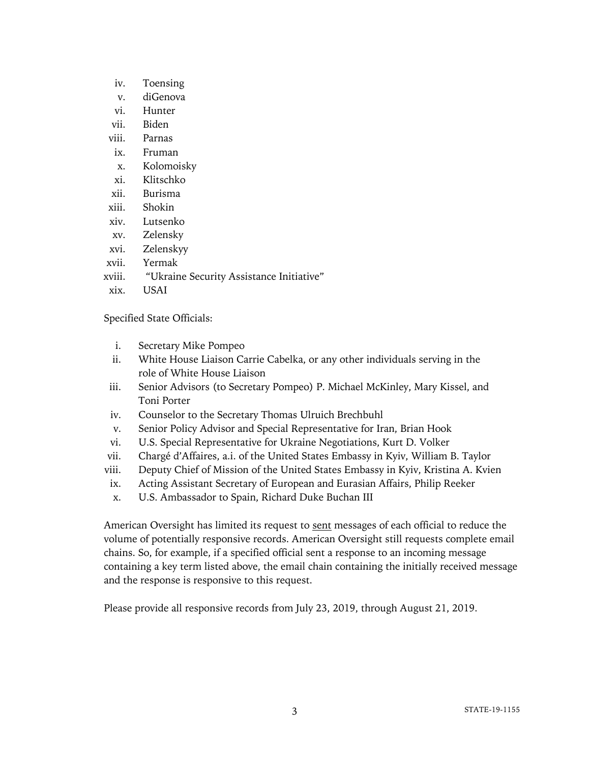- iv. Toensing
- v. diGenova
- vi. Hunter
- vii. Biden
- viii. Parnas
- ix. Fruman
- x. Kolomoisky
- xi. Klitschko
- xii. Burisma
- xiii. Shokin
- xiv. Lutsenko
- xv. Zelensky
- xvi. Zelenskyy
- xvii. Yermak
- xviii. "Ukraine Security Assistance Initiative"
- xix. USAI

Specified State Officials:

- i. Secretary Mike Pompeo
- ii. White House Liaison Carrie Cabelka, or any other individuals serving in the role of White House Liaison
- iii. Senior Advisors (to Secretary Pompeo) P. Michael McKinley, Mary Kissel, and Toni Porter
- iv. Counselor to the Secretary Thomas Ulruich Brechbuhl
- v. Senior Policy Advisor and Special Representative for Iran, Brian Hook
- vi. U.S. Special Representative for Ukraine Negotiations, Kurt D. Volker
- vii. Chargé d'Affaires, a.i. of the United States Embassy in Kyiv, William B. Taylor
- viii. Deputy Chief of Mission of the United States Embassy in Kyiv, Kristina A. Kvien
- ix. Acting Assistant Secretary of European and Eurasian Affairs, Philip Reeker
- x. U.S. Ambassador to Spain, Richard Duke Buchan III

American Oversight has limited its request to sent messages of each official to reduce the volume of potentially responsive records. American Oversight still requests complete email chains. So, for example, if a specified official sent a response to an incoming message containing a key term listed above, the email chain containing the initially received message and the response is responsive to this request.

Please provide all responsive records from July 23, 2019, through August 21, 2019.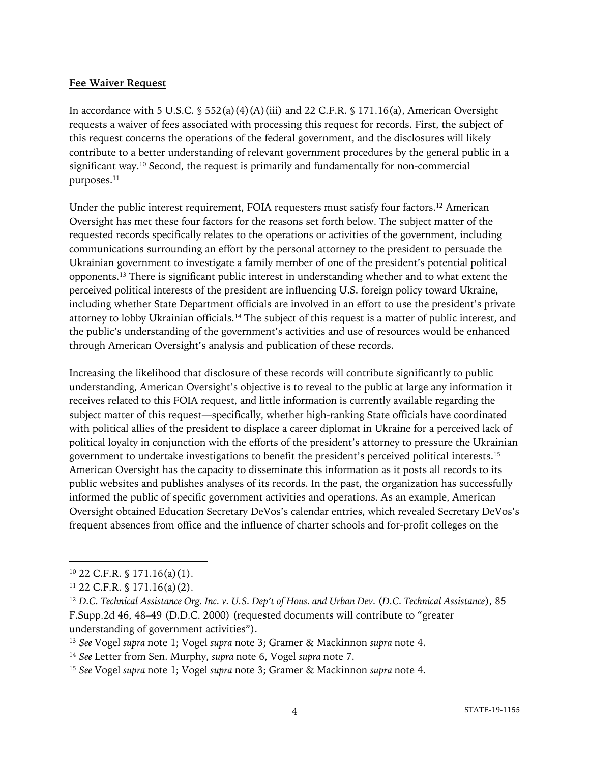#### **Fee Waiver Request**

In accordance with 5 U.S.C.  $\S$  552(a)(4)(A)(iii) and 22 C.F.R.  $\S$  171.16(a), American Oversight requests a waiver of fees associated with processing this request for records. First, the subject of this request concerns the operations of the federal government, and the disclosures will likely contribute to a better understanding of relevant government procedures by the general public in a significant way.10 Second, the request is primarily and fundamentally for non-commercial purposes.<sup>11</sup>

Under the public interest requirement, FOIA requesters must satisfy four factors.<sup>12</sup> American Oversight has met these four factors for the reasons set forth below. The subject matter of the requested records specifically relates to the operations or activities of the government, including communications surrounding an effort by the personal attorney to the president to persuade the Ukrainian government to investigate a family member of one of the president's potential political opponents.13 There is significant public interest in understanding whether and to what extent the perceived political interests of the president are influencing U.S. foreign policy toward Ukraine, including whether State Department officials are involved in an effort to use the president's private attorney to lobby Ukrainian officials.14 The subject of this request is a matter of public interest, and the public's understanding of the government's activities and use of resources would be enhanced through American Oversight's analysis and publication of these records.

Increasing the likelihood that disclosure of these records will contribute significantly to public understanding, American Oversight's objective is to reveal to the public at large any information it receives related to this FOIA request, and little information is currently available regarding the subject matter of this request—specifically, whether high-ranking State officials have coordinated with political allies of the president to displace a career diplomat in Ukraine for a perceived lack of political loyalty in conjunction with the efforts of the president's attorney to pressure the Ukrainian government to undertake investigations to benefit the president's perceived political interests.15 American Oversight has the capacity to disseminate this information as it posts all records to its public websites and publishes analyses of its records. In the past, the organization has successfully informed the public of specific government activities and operations. As an example, American Oversight obtained Education Secretary DeVos's calendar entries, which revealed Secretary DeVos's frequent absences from office and the influence of charter schools and for-profit colleges on the

 $10$  22 C.F.R. § 171.16(a)(1).

 $11$  22 C.F.R. § 171.16(a)(2).

<sup>&</sup>lt;sup>12</sup> D.C. Technical Assistance Org. Inc. v. U.S. Dep't of Hous. and Urban Dev. (D.C. Technical Assistance), 85 F.Supp.2d 46, 48–49 (D.D.C. 2000) (requested documents will contribute to "greater understanding of government activities").

<sup>13</sup> *See* Vogel *supra* note 1; Vogel *supra* note 3; Gramer & Mackinnon *supra* note 4.

<sup>14</sup> *See* Letter from Sen. Murphy, *supra* note 6, Vogel *supra* note 7.

<sup>15</sup> *See* Vogel *supra* note 1; Vogel *supra* note 3; Gramer & Mackinnon *supra* note 4.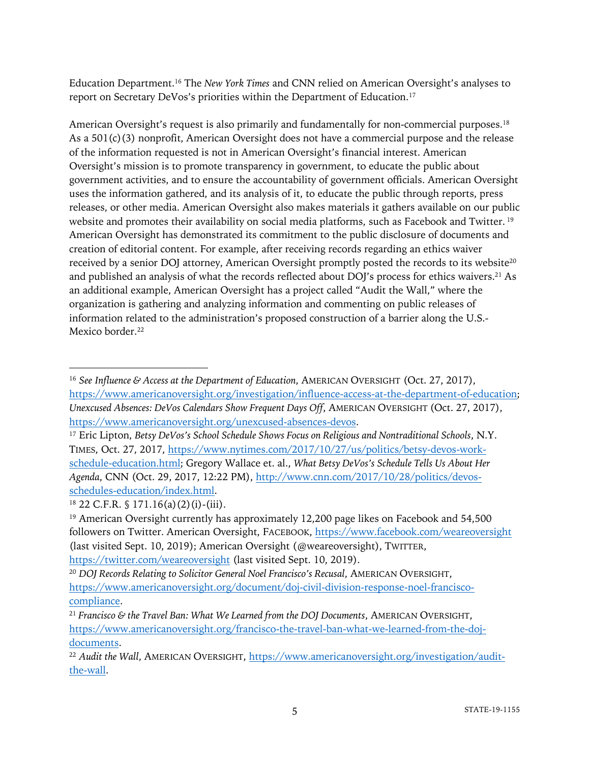Education Department.16 The *New York Times* and CNN relied on American Oversight's analyses to report on Secretary DeVos's priorities within the Department of Education.<sup>17</sup>

American Oversight's request is also primarily and fundamentally for non-commercial purposes.<sup>18</sup> As a 501(c)(3) nonprofit, American Oversight does not have a commercial purpose and the release of the information requested is not in American Oversight's financial interest. American Oversight's mission is to promote transparency in government, to educate the public about government activities, and to ensure the accountability of government officials. American Oversight uses the information gathered, and its analysis of it, to educate the public through reports, press releases, or other media. American Oversight also makes materials it gathers available on our public website and promotes their availability on social media platforms, such as Facebook and Twitter.<sup>19</sup> American Oversight has demonstrated its commitment to the public disclosure of documents and creation of editorial content. For example, after receiving records regarding an ethics waiver received by a senior DOJ attorney, American Oversight promptly posted the records to its website<sup>20</sup> and published an analysis of what the records reflected about DOJ's process for ethics waivers.<sup>21</sup> As an additional example, American Oversight has a project called "Audit the Wall," where the organization is gathering and analyzing information and commenting on public releases of information related to the administration's proposed construction of a barrier along the U.S.- Mexico border.<sup>22</sup>

<sup>16</sup> *See Influence & Access at the Department of Education*, AMERICAN OVERSIGHT (Oct. 27, 2017), https://www.americanoversight.org/investigation/influence-access-at-the-department-of-education; *Unexcused Absences: DeVos Calendars Show Frequent Days Off*, AMERICAN OVERSIGHT (Oct. 27, 2017), https://www.americanoversight.org/unexcused-absences-devos.

<sup>&</sup>lt;sup>17</sup> Eric Lipton, *Betsy DeVos's School Schedule Shows Focus on Religious and Nontraditional Schools*, N.Y. TIMES, Oct. 27, 2017, https://www.nytimes.com/2017/10/27/us/politics/betsy-devos-workschedule-education.html; Gregory Wallace et. al., *What Betsy DeVos's Schedule Tells Us About Her Agenda*, CNN (Oct. 29, 2017, 12:22 PM), http://www.cnn.com/2017/10/28/politics/devosschedules-education/index.html.

 $18$  22 C.F.R. § 171.16(a)(2)(i)-(iii).

<sup>&</sup>lt;sup>19</sup> American Oversight currently has approximately 12,200 page likes on Facebook and 54,500 followers on Twitter. American Oversight, FACEBOOK, https://www.facebook.com/weareoversight (last visited Sept. 10, 2019); American Oversight (@weareoversight), TWITTER, https://twitter.com/weareoversight (last visited Sept. 10, 2019).

<sup>20</sup> *DOJ Records Relating to Solicitor General Noel Francisco's Recusal*, AMERICAN OVERSIGHT, https://www.americanoversight.org/document/doj-civil-division-response-noel-franciscocompliance.

<sup>21</sup> *Francisco & the Travel Ban: What We Learned from the DOJ Documents*, AMERICAN OVERSIGHT, https://www.americanoversight.org/francisco-the-travel-ban-what-we-learned-from-the-dojdocuments.

<sup>22</sup> *Audit the Wall*, AMERICAN OVERSIGHT, https://www.americanoversight.org/investigation/auditthe-wall.